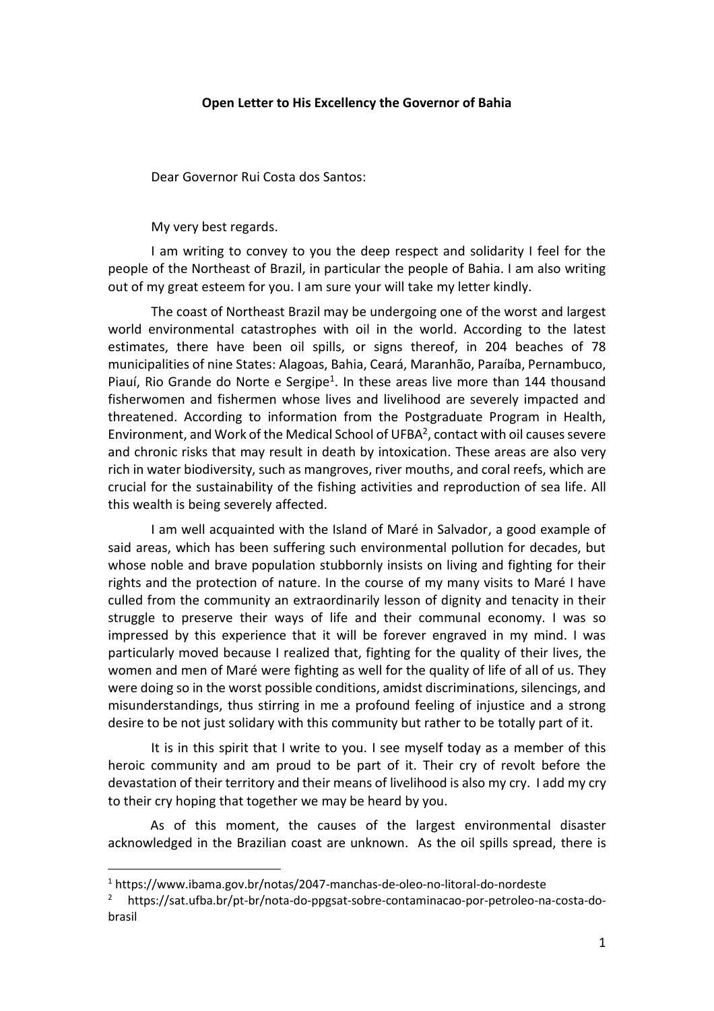## **Open Letter to His Excellency the Governor of Bahia**

Dear Governor Rui Costa dos Santos:

My very best regards.

I am writing to convey to you the deep respect and solidarity I feel for the people of the Northeast of Brazil, in particular the people of Bahia. I am also writing out of my great esteem for you. I am sure your will take my letter kindly.

The coast of Northeast Brazil may be undergoing one of the worst and largest world environmental catastrophes with oil in the world. According to the latest estimates, there have been oil spills, or signs thereof, in 204 beaches of 78 municipalities of nine States: Alagoas, Bahia, Ceará, Maranhão, Paraíba, Pernambuco, Piauí, Rio Grande do Norte e Sergipe<sup>1</sup>. In these areas live more than 144 thousand fisherwomen and fishermen whose lives and livelihood are severely impacted and threatened. According to information from the Postgraduate Program in Health, Environment, and Work of the Medical School of UFBA<sup>2</sup>, contact with oil causes severe and chronic risks that may result in death by intoxication. These areas are also very rich in water biodiversity, such as mangroves, river mouths, and coral reefs, which are crucial for the sustainability of the fishing activities and reproduction of sea life. All this wealth is being severely affected.

I am well acquainted with the Island of Maré in Salvador, a good example of said areas, which has been suffering such environmental pollution for decades, but whose noble and brave population stubbornly insists on living and fighting for their rights and the protection of nature. In the course of my many visits to Maré I have culled from the community an extraordinarily lesson of dignity and tenacity in their struggle to preserve their ways of life and their communal economy. I was so impressed by this experience that it will be forever engraved in my mind. I was particularly moved because I realized that, fighting for the quality of their lives, the women and men of Maré were fighting as well for the quality of life of all of us. They were doing so in the worst possible conditions, amidst discriminations, silencings, and misunderstandings, thus stirring in me a profound feeling of injustice and a strong desire to be not just solidary with this community but rather to be totally part of it.

It is in this spirit that I write to you. I see myself today as a member of this heroic community and am proud to be part of it. Their cry of revolt before the devastation of their territory and their means of livelihood is also my cry. I add my cry to their cry hoping that together we may be heard by you.

As of this moment, the causes of the largest environmental disaster acknowledged in the Brazilian coast are unknown. As the oil spills spread, there is

 $\overline{a}$ 

<sup>1</sup> https://www.ibama.gov.br/notas/2047-manchas-de-oleo-no-litoral-do-nordeste

<sup>&</sup>lt;sup>2</sup> https://sat.ufba.br/pt-br/nota-do-ppgsat-sobre-contaminacao-por-petroleo-na-costa-dobrasil